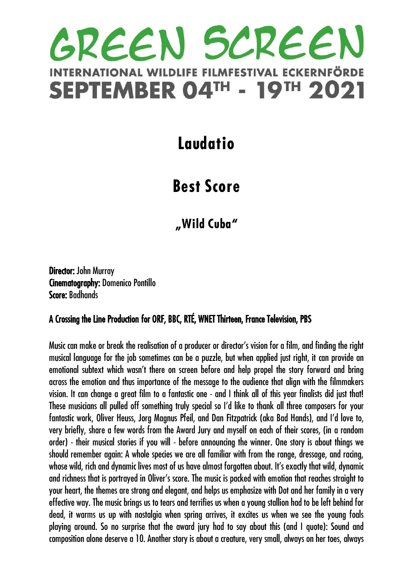## GREEN SCREEN LDLIFE FILMFESTIVAL ECKERNFÖRDE **INTERNATIONAL WI SEPTEMBER 04TH - 19TH 2021**

### **Laudatio**

## **Best Score**

**"Wild Cuba"**

Director: John Murray Cinematography: Domenico Pontillo Score: Badhands

#### A Crossing the Line Production for ORF, BBC, RTÉ, WNET Thirteen, France Television, PBS

Music can make or break the realisation of a producer or director's vision for a film, and finding the right musical language for the job sometimes can be a puzzle, but when applied just right, it can provide an emotional subtext which wasn't there on screen before and help propel the story forward and bring across the emotion and thus importance of the message to the audience that align with the filmmakers vision. It can change a great film to a fantastic one - and I think all of this year finalists did just that! These musicians all pulled off something truly special so I'd like to thank all three composers for your fantastic work, Oliver Heuss, Jorg Magnus Pfeil, and Dan Fitzpatrick (aka Bad Hands), and I'd love to, very briefly, share a few words from the Award Jury and myself on each of their scores, (in a random order) - their musical stories if you will - before announcing the winner. One story is about things we should remember again: A whole species we are all familiar with from the range, dressage, and racing, whose wild, rich and dynamic lives most of us have almost forgotten about. It's exactly that wild, dynamic and richness that is portrayed in Oliver's score. The music is packed with emotion that reaches straight to your heart, the themes are strong and elegant, and helps us emphasize with Dot and her family in a very effective way. The music brings us to tears and terrifies us when a young stallion had to be left behind for dead, it warms us up with nostalgia when spring arrives, it excites us when we see the young foals playing around. So no surprise that the award jury had to say about this (and I quote): Sound and composition alone deserve a 10. Another story is about a creature, very small, always on her toes, always